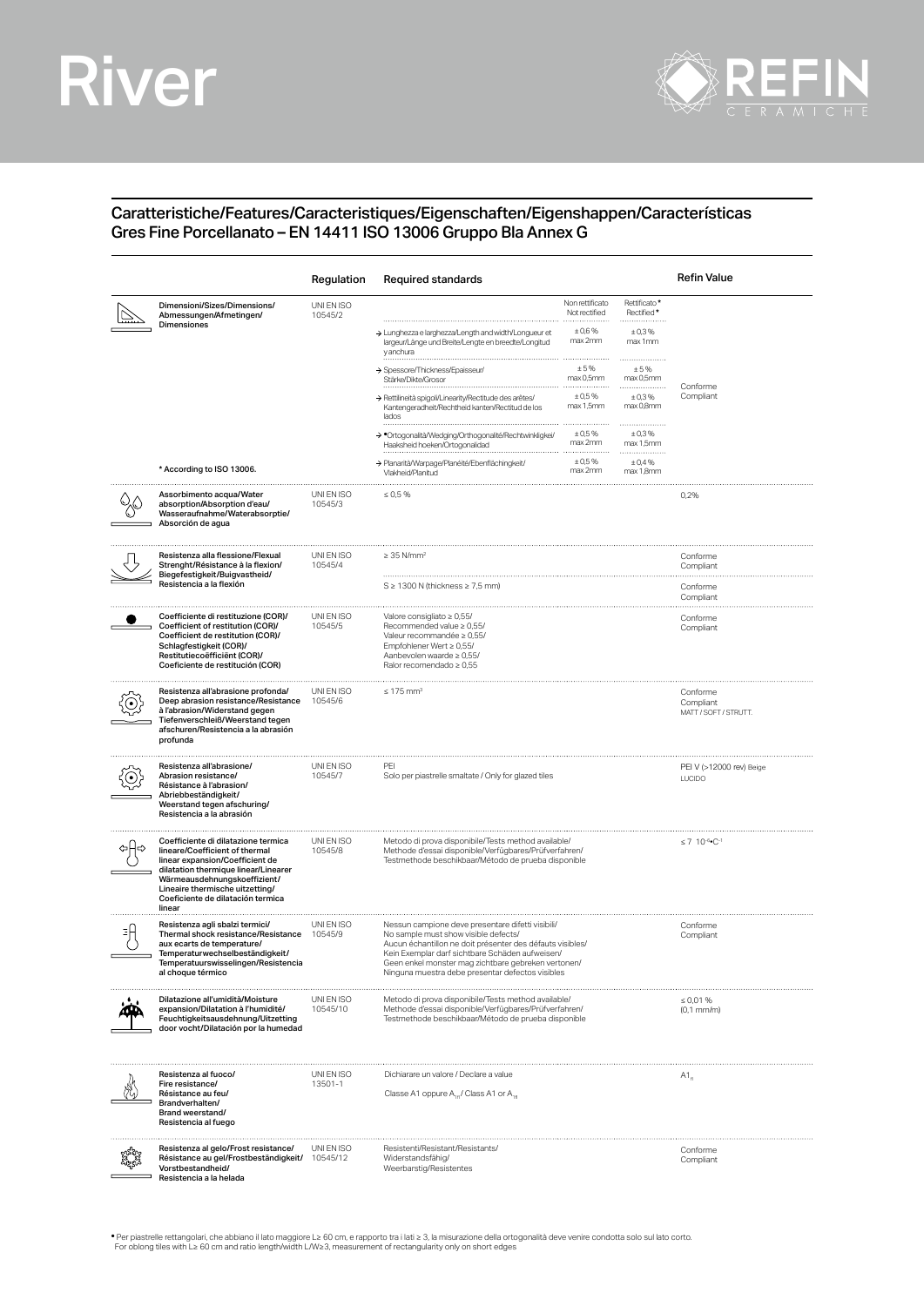## River



## Caratteristiche/Features/Caracteristiques/Eigenschaften/Eigenshappen/Características Gres Fine Porcellanato – EN 14411 ISO 13006 Gruppo Bla Annex G

|                                                                                                                                                                                                                                                                    | Regulation             | Required standards                                                                                                                                                                                                                                                                                                  |                                            |                                     | <b>Refin Value</b>                             |  |  |
|--------------------------------------------------------------------------------------------------------------------------------------------------------------------------------------------------------------------------------------------------------------------|------------------------|---------------------------------------------------------------------------------------------------------------------------------------------------------------------------------------------------------------------------------------------------------------------------------------------------------------------|--------------------------------------------|-------------------------------------|------------------------------------------------|--|--|
| Dimensioni/Sizes/Dimensions/<br>Abmessungen/Afmetingen/<br>Dimensiones                                                                                                                                                                                             | UNI EN ISO<br>10545/2  | > Lunghezza e larghezza/Length and width/Longueur et                                                                                                                                                                                                                                                                | Non rettificato<br>Not rectified<br>± 0,6% | Rettificato*<br>Rectified*<br>±0,3% |                                                |  |  |
|                                                                                                                                                                                                                                                                    |                        | largeur/Länge und Breite/Lengte en breedte/Longitud<br>y anchura                                                                                                                                                                                                                                                    | max 2mm                                    | max 1mm<br>                         |                                                |  |  |
|                                                                                                                                                                                                                                                                    |                        | → Spessore/Thickness/Epaisseur<br>Stärke/Dikte/Grosor                                                                                                                                                                                                                                                               | ±5%<br>max 0,5mm                           | ±5%<br>max 0,5mm                    | Conforme<br>Compliant                          |  |  |
|                                                                                                                                                                                                                                                                    |                        | > Rettilineità spigoli/Linearity/Rectitude des arêtes/<br>Kantengeradheit/Rechtheid kanten/Rectitud de los<br>lados                                                                                                                                                                                                 | $\pm 0.5 \%$<br>max 1,5mm                  | ±0,3%<br>max 0,8mm                  |                                                |  |  |
|                                                                                                                                                                                                                                                                    |                        | > *Ortogonalità/Wedging/Orthogonalité/Rechtwinkligkei/<br>Haaksheid hoeken/Ortogonalidad                                                                                                                                                                                                                            | ± 0.5%<br>max 2mm                          | ±0,3%<br>max 1,5mm<br>.             |                                                |  |  |
| * According to ISO 13006.                                                                                                                                                                                                                                          |                        | > Planarità/Warpage/Planéité/Ebenflächingkeit<br>Vlakheid/Planitud                                                                                                                                                                                                                                                  | ± 0.5%<br>max 2mm                          | ± 0.4%<br>max 1,8mm                 |                                                |  |  |
| Assorbimento acqua/Water<br>absorption/Absorption d'eau/<br>Wasseraufnahme/Waterabsorptie/<br>Absorción de agua                                                                                                                                                    | UNI EN ISO<br>10545/3  | $\leq 0.5 \%$                                                                                                                                                                                                                                                                                                       |                                            |                                     | 0,2%                                           |  |  |
| Resistenza alla flessione/Flexual<br>Strenght/Résistance à la flexion/<br>Biegefestigkeit/Buigvastheid/<br>Resistencia a la flexión                                                                                                                                | UNI EN ISO<br>10545/4  | $\geq$ 35 N/mm <sup>2</sup>                                                                                                                                                                                                                                                                                         |                                            |                                     | Conforme<br>Compliant                          |  |  |
|                                                                                                                                                                                                                                                                    |                        | $S \geq 1300$ N (thickness $\geq 7.5$ mm)                                                                                                                                                                                                                                                                           |                                            |                                     |                                                |  |  |
| Coefficiente di restituzione (COR)/<br>Coefficient of restitution (COR)/<br>Coefficient de restitution (COR)/<br>Schlagfestigkeit (COR)/<br>Restitutiecoëfficiënt (COR)/<br>Coeficiente de restitución (COR)                                                       | UNI EN ISO<br>10545/5  | Valore consigliato ≥ 0,55/<br>Recommended value $\geq 0.55/$<br>Valeur recommandée ≥ 0,55/<br>Empfohlener Wert $\geq 0.55/$<br>Aanbevolen waarde $\geq 0.55$ /<br>Ralor recomendado $\geq 0.55$                                                                                                                     |                                            |                                     | Conforme<br>Compliant                          |  |  |
| Resistenza all'abrasione profonda/<br>Deep abrasion resistance/Resistance<br>à l'abrasion/Widerstand gegen<br>Tiefenverschleiß/Weerstand tegen<br>afschuren/Resistencia a la abrasión<br>profunda                                                                  | UNI EN ISO<br>10545/6  | $\leq 175$ mm <sup>3</sup>                                                                                                                                                                                                                                                                                          |                                            |                                     | Conforme<br>Compliant<br>MATT / SOFT / STRUTT. |  |  |
| Resistenza all'abrasione/<br>Abrasion resistance/<br>Résistance à l'abrasion/<br>Abriebbeständigkeit/<br>Weerstand tegen afschuring/<br>Resistencia a la abrasión                                                                                                  | UNI EN ISO<br>10545/7  | PEI<br>Solo per piastrelle smaltate / Only for glazed tiles                                                                                                                                                                                                                                                         |                                            |                                     | PEI V (>12000 rev) Beige<br><b>LUCIDO</b>      |  |  |
| Coefficiente di dilatazione termica<br>lineare/Coefficient of thermal<br>linear expansion/Coefficient de<br>dilatation thermique linear/Linearer<br>Wärmeausdehnungskoeffizient/<br>Lineaire thermische uitzetting/<br>Coeficiente de dilatación termica<br>linear | UNI EN ISO<br>10545/8  | Metodo di prova disponibile/Tests method available/<br>Methode d'essai disponible/Verfügbares/Prüfverfahren/<br>Testmethode beschikbaar/Método de prueba disponible                                                                                                                                                 |                                            |                                     | $\leq 7$ 10-6. C-1                             |  |  |
| Resistenza agli sbalzi termici/<br>Thermal shock resistance/Resistance<br>aux ecarts de temperature/<br>Temperaturwechselbeständigkeit/<br>lemperatuurswisselingen/Resistencia<br>al choque térmico                                                                | UNI EN ISO<br>10545/9  | Nessun campione deve presentare difetti visibili/<br>No sample must show visible defects/<br>Aucun échantillon ne doit présenter des défauts visibles/<br>Kein Exemplar darf sichtbare Schäden aufweisen/<br>Geen enkel monster mag zichtbare gebreken vertonen<br>Ninguna muestra debe presentar defectos visibles |                                            | Conforme<br>Compliant               |                                                |  |  |
| Dilatazione all'umidità/Moisture<br>expansion/Dilatation à l'humidité/<br>Feuchtigkeitsausdehnung/Uitzetting<br>door vocht/Dilatación por la humedad                                                                                                               | UNI EN ISO<br>10545/10 | Metodo di prova disponibile/Tests method available/<br>Methode d'essai disponible/Verfügbares/Prüfverfahren/<br>Testmethode beschikbaar/Método de prueba disponible                                                                                                                                                 |                                            |                                     | $\leq 0.01 \%$<br>$(0,1 \text{ mm/m})$         |  |  |
| Resistenza al fuoco/<br>Fire resistance/<br>Résistance au feu/<br>Brandverhalten/<br>Brand weerstand/<br>Resistencia al fuego                                                                                                                                      | UNI EN ISO<br>13501-1  | Dichiarare un valore / Declare a value<br>Classe A1 oppure A., / Class A1 or A.,                                                                                                                                                                                                                                    |                                            |                                     | $A1_{n}$                                       |  |  |
| Resistenza al gelo/Frost resistance/<br>Résistance au gel/Frostbeständigkeit/<br>Vorstbestandheid/<br>Resistencia a la helada                                                                                                                                      | UNI EN ISO<br>10545/12 | Resistenti/Resistant/Resistants/<br>Widerstandsfähig/<br>Weerbarstig/Resistentes                                                                                                                                                                                                                                    |                                            |                                     | Conforme<br>Compliant                          |  |  |

. Per piastrelle rettangolari, che abbiano il lato maggiore L≥ 60 cm, e rapporto tra i lati ≥ 3, la misurazione della ortogonalità deve venire condotta solo sul lato corto.<br>For oblong tiles with L≥ 60 cm and ratio length/